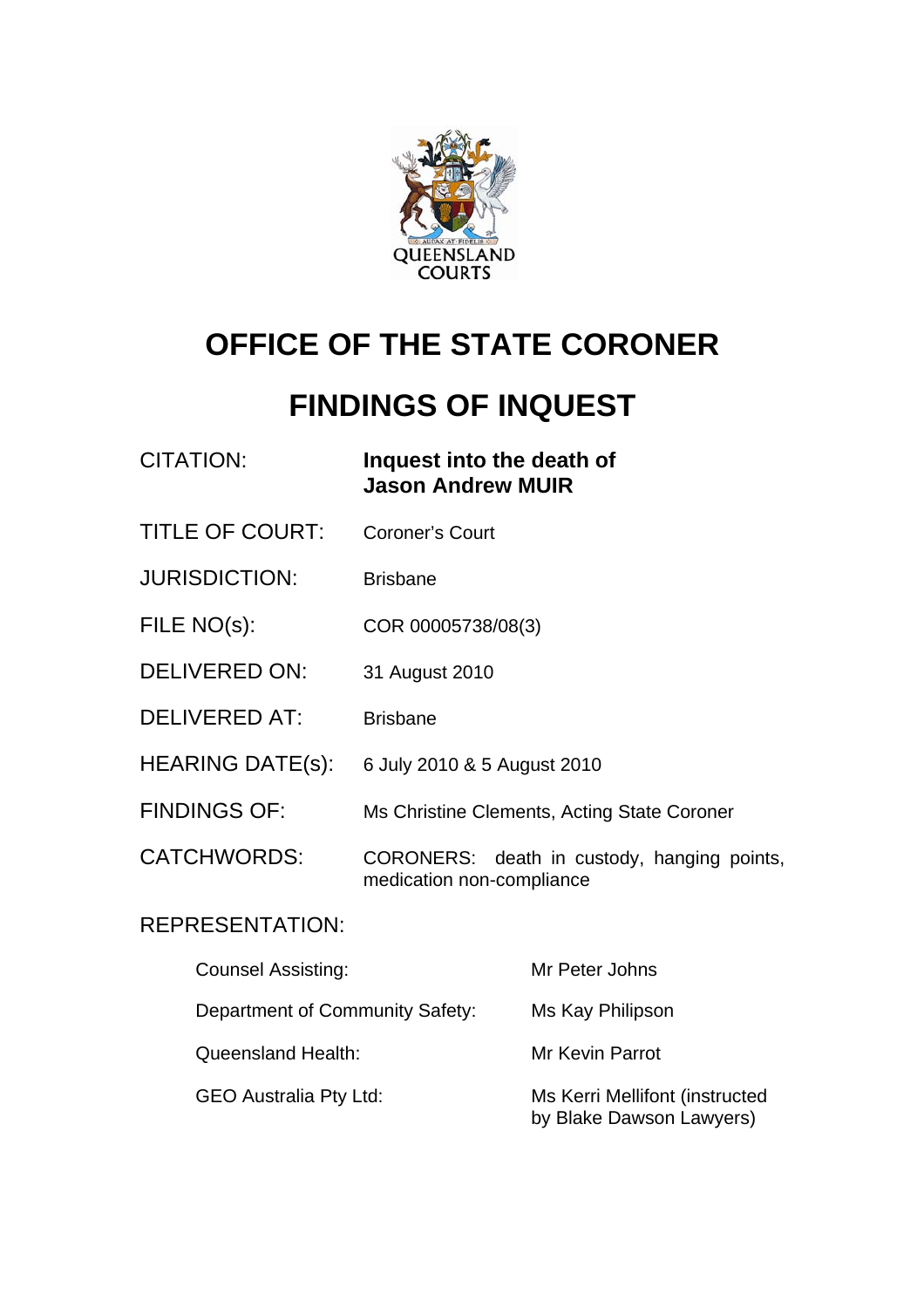

# **OFFICE OF THE STATE CORONER**

# **FINDINGS OF INQUEST**

| <b>CITATION:</b>        | Inquest into the death of<br><b>Jason Andrew MUIR</b>                    |
|-------------------------|--------------------------------------------------------------------------|
| <b>TITLE OF COURT:</b>  | <b>Coroner's Court</b>                                                   |
| <b>JURISDICTION:</b>    | <b>Brisbane</b>                                                          |
| FILE NO(s):             | COR 00005738/08(3)                                                       |
| <b>DELIVERED ON:</b>    | 31 August 2010                                                           |
| <b>DELIVERED AT:</b>    | <b>Brisbane</b>                                                          |
| <b>HEARING DATE(s):</b> | 6 July 2010 & 5 August 2010                                              |
| <b>FINDINGS OF:</b>     | Ms Christine Clements, Acting State Coroner                              |
| <b>CATCHWORDS:</b>      | CORONERS: death in custody, hanging points,<br>medication non-compliance |

## REPRESENTATION:

| <b>Counsel Assisting:</b>       | Mr Peter Johns                                             |
|---------------------------------|------------------------------------------------------------|
| Department of Community Safety: | Ms Kay Philipson                                           |
| <b>Queensland Health:</b>       | Mr Kevin Parrot                                            |
| <b>GEO Australia Pty Ltd:</b>   | Ms Kerri Mellifont (instructed<br>by Blake Dawson Lawyers) |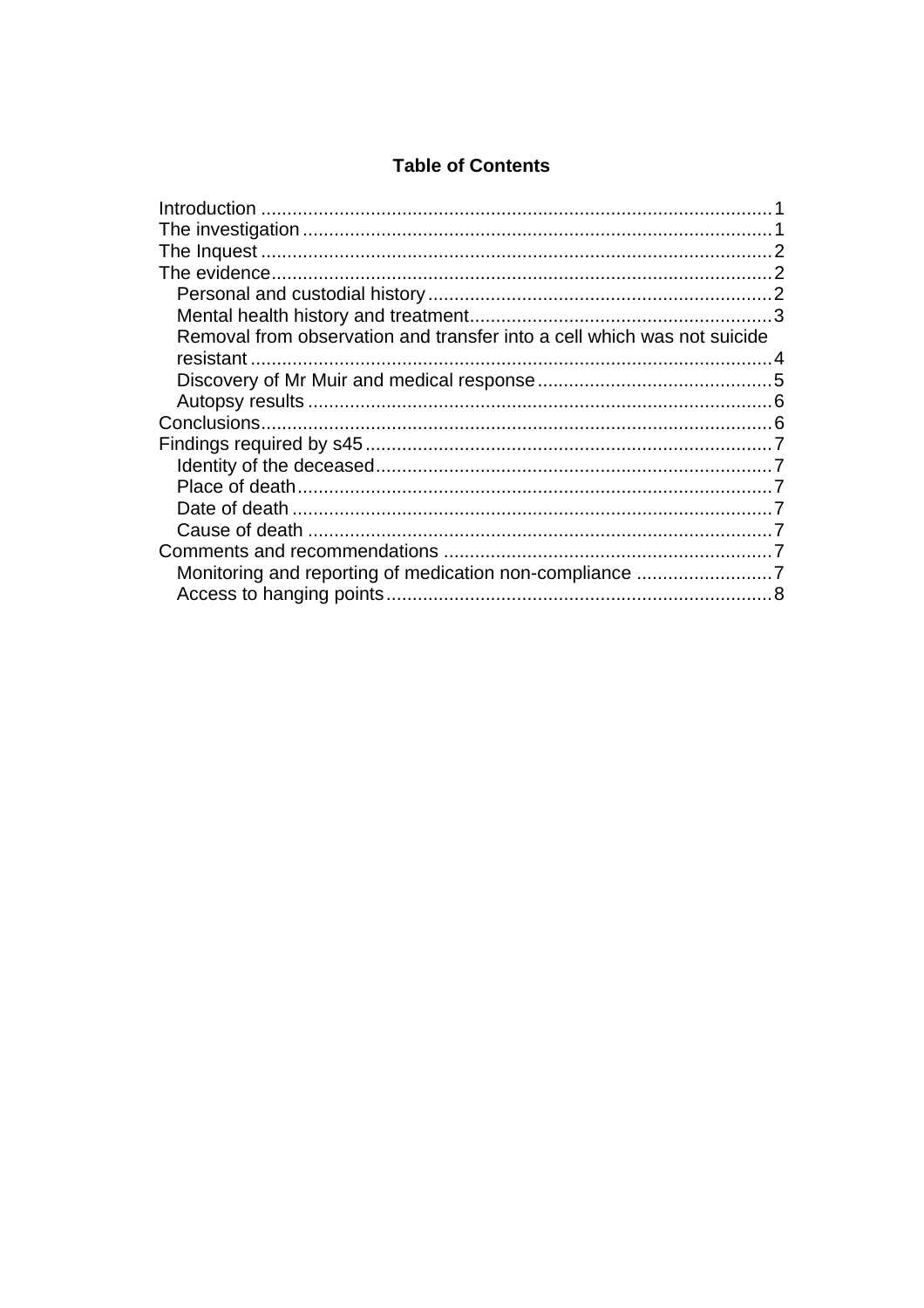## **Table of Contents**

| Removal from observation and transfer into a cell which was not suicide |  |
|-------------------------------------------------------------------------|--|
|                                                                         |  |
|                                                                         |  |
|                                                                         |  |
|                                                                         |  |
|                                                                         |  |
|                                                                         |  |
|                                                                         |  |
|                                                                         |  |
|                                                                         |  |
|                                                                         |  |
|                                                                         |  |
|                                                                         |  |
|                                                                         |  |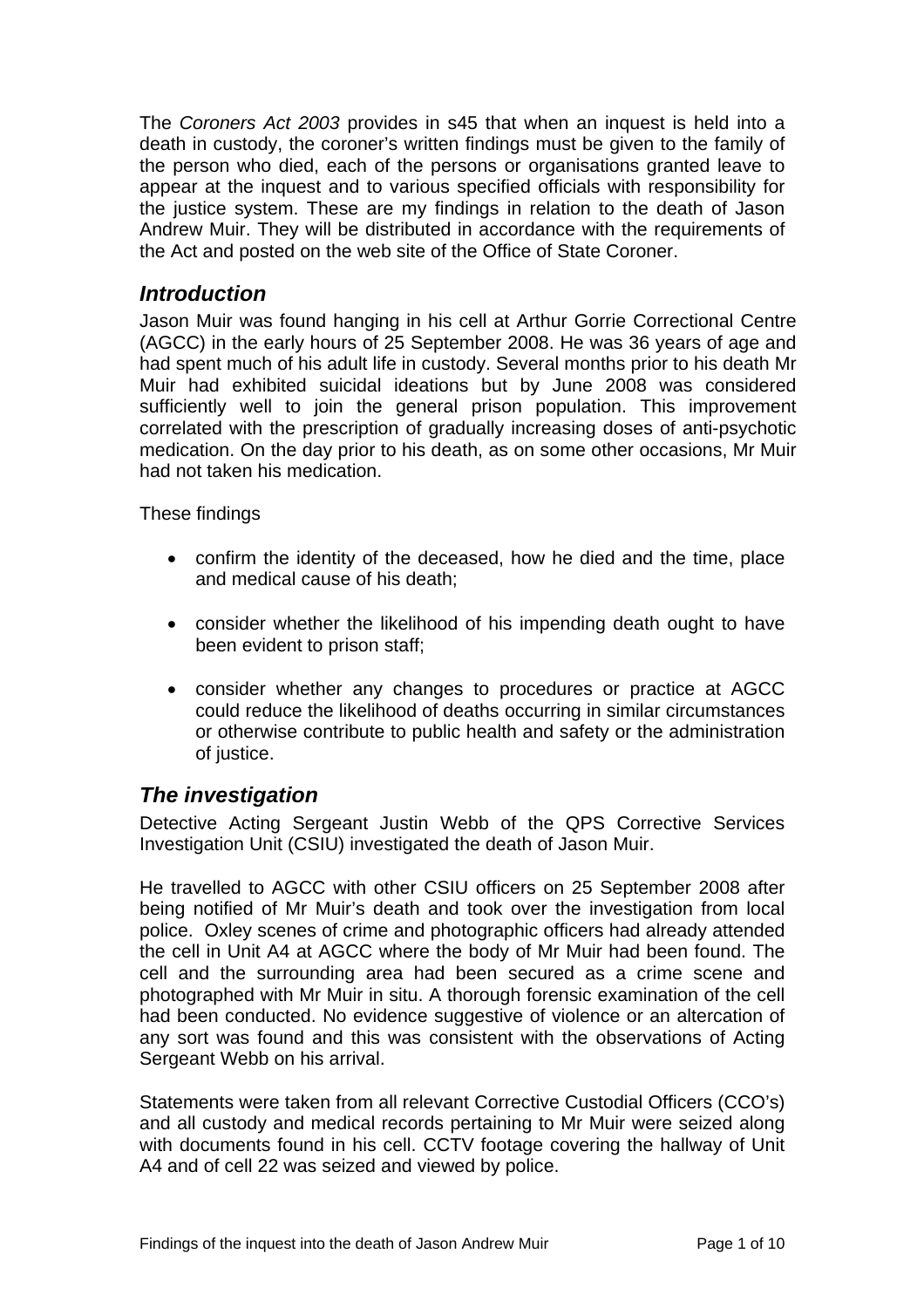<span id="page-2-0"></span>The *Coroners Act 2003* provides in s45 that when an inquest is held into a death in custody, the coroner's written findings must be given to the family of the person who died, each of the persons or organisations granted leave to appear at the inquest and to various specified officials with responsibility for the justice system. These are my findings in relation to the death of Jason Andrew Muir. They will be distributed in accordance with the requirements of the Act and posted on the web site of the Office of State Coroner.

## *Introduction*

Jason Muir was found hanging in his cell at Arthur Gorrie Correctional Centre (AGCC) in the early hours of 25 September 2008. He was 36 years of age and had spent much of his adult life in custody. Several months prior to his death Mr Muir had exhibited suicidal ideations but by June 2008 was considered sufficiently well to join the general prison population. This improvement correlated with the prescription of gradually increasing doses of anti-psychotic medication. On the day prior to his death, as on some other occasions, Mr Muir had not taken his medication.

These findings

- confirm the identity of the deceased, how he died and the time, place and medical cause of his death;
- consider whether the likelihood of his impending death ought to have been evident to prison staff;
- consider whether any changes to procedures or practice at AGCC could reduce the likelihood of deaths occurring in similar circumstances or otherwise contribute to public health and safety or the administration of justice.

## *The investigation*

Detective Acting Sergeant Justin Webb of the QPS Corrective Services Investigation Unit (CSIU) investigated the death of Jason Muir.

He travelled to AGCC with other CSIU officers on 25 September 2008 after being notified of Mr Muir's death and took over the investigation from local police. Oxley scenes of crime and photographic officers had already attended the cell in Unit A4 at AGCC where the body of Mr Muir had been found. The cell and the surrounding area had been secured as a crime scene and photographed with Mr Muir in situ. A thorough forensic examination of the cell had been conducted. No evidence suggestive of violence or an altercation of any sort was found and this was consistent with the observations of Acting Sergeant Webb on his arrival.

Statements were taken from all relevant Corrective Custodial Officers (CCO's) and all custody and medical records pertaining to Mr Muir were seized along with documents found in his cell. CCTV footage covering the hallway of Unit A4 and of cell 22 was seized and viewed by police.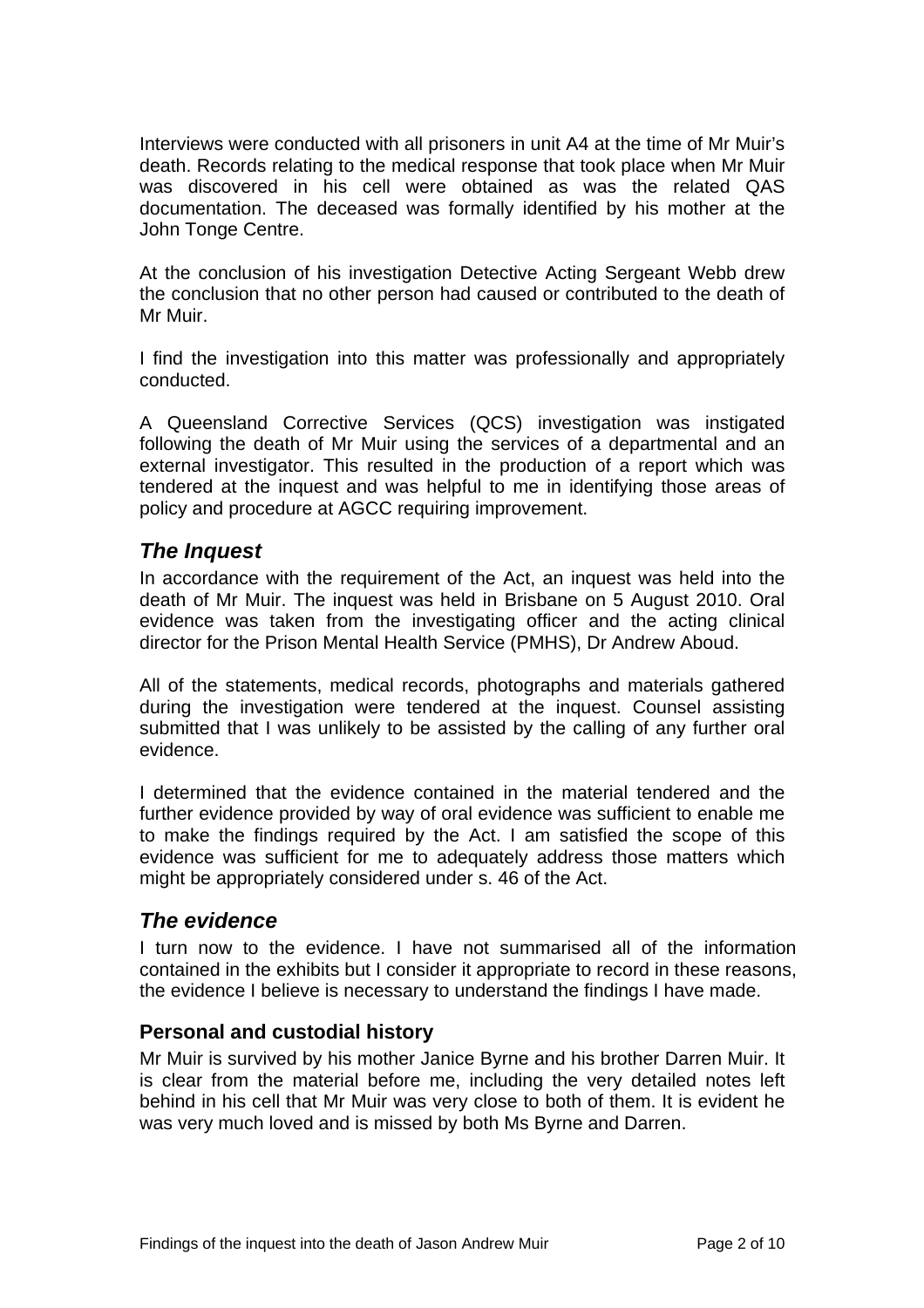<span id="page-3-0"></span>Interviews were conducted with all prisoners in unit A4 at the time of Mr Muir's death. Records relating to the medical response that took place when Mr Muir was discovered in his cell were obtained as was the related QAS documentation. The deceased was formally identified by his mother at the John Tonge Centre.

At the conclusion of his investigation Detective Acting Sergeant Webb drew the conclusion that no other person had caused or contributed to the death of Mr Muir.

I find the investigation into this matter was professionally and appropriately conducted.

A Queensland Corrective Services (QCS) investigation was instigated following the death of Mr Muir using the services of a departmental and an external investigator. This resulted in the production of a report which was tendered at the inquest and was helpful to me in identifying those areas of policy and procedure at AGCC requiring improvement.

## *The Inquest*

In accordance with the requirement of the Act, an inquest was held into the death of Mr Muir. The inquest was held in Brisbane on 5 August 2010. Oral evidence was taken from the investigating officer and the acting clinical director for the Prison Mental Health Service (PMHS), Dr Andrew Aboud.

All of the statements, medical records, photographs and materials gathered during the investigation were tendered at the inquest. Counsel assisting submitted that I was unlikely to be assisted by the calling of any further oral evidence.

I determined that the evidence contained in the material tendered and the further evidence provided by way of oral evidence was sufficient to enable me to make the findings required by the Act. I am satisfied the scope of this evidence was sufficient for me to adequately address those matters which might be appropriately considered under s. 46 of the Act.

## *The evidence*

I turn now to the evidence. I have not summarised all of the information contained in the exhibits but I consider it appropriate to record in these reasons, the evidence I believe is necessary to understand the findings I have made.

#### **Personal and custodial history**

Mr Muir is survived by his mother Janice Byrne and his brother Darren Muir. It is clear from the material before me, including the very detailed notes left behind in his cell that Mr Muir was very close to both of them. It is evident he was very much loved and is missed by both Ms Byrne and Darren.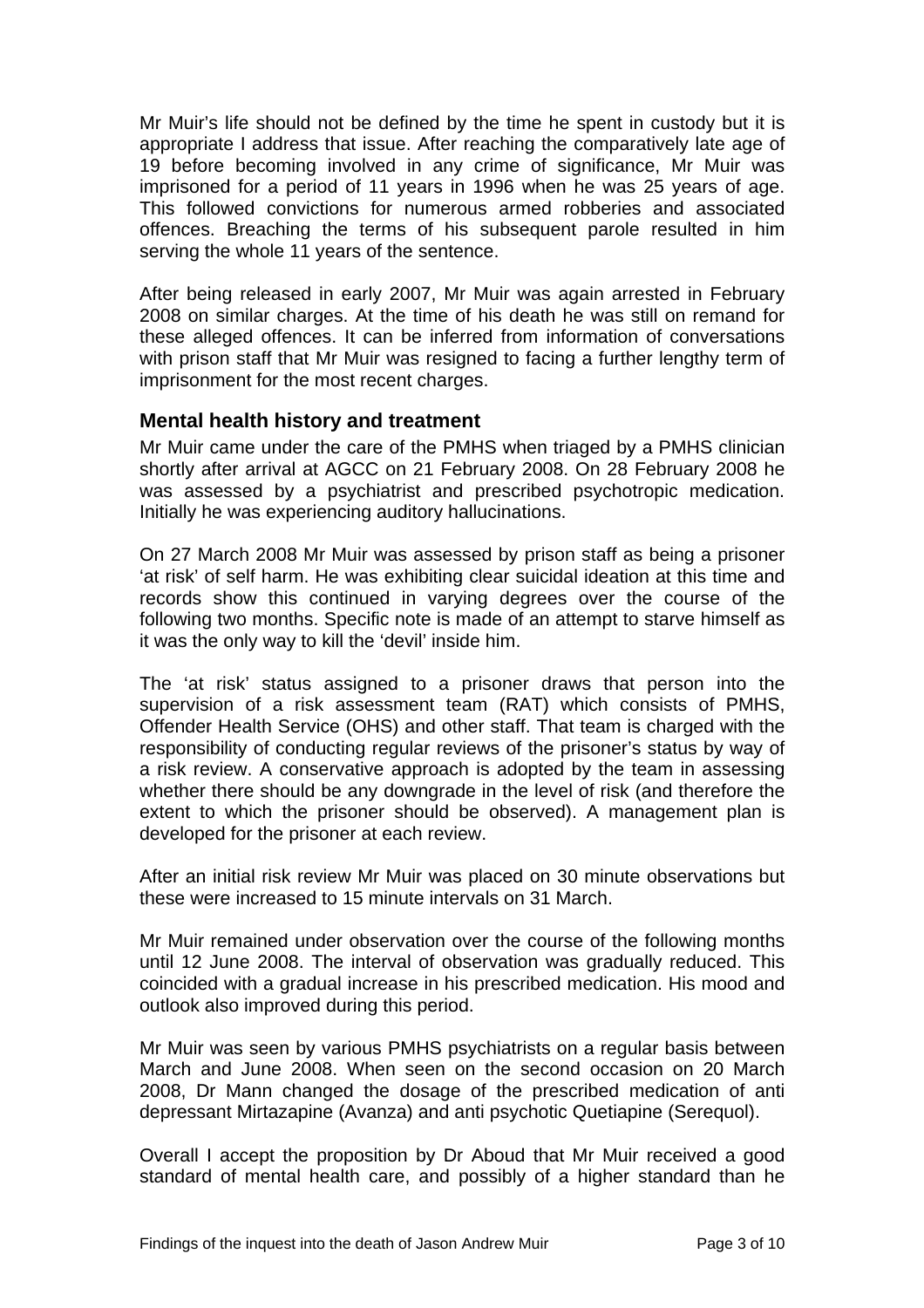<span id="page-4-0"></span>Mr Muir's life should not be defined by the time he spent in custody but it is appropriate I address that issue. After reaching the comparatively late age of 19 before becoming involved in any crime of significance, Mr Muir was imprisoned for a period of 11 years in 1996 when he was 25 years of age. This followed convictions for numerous armed robberies and associated offences. Breaching the terms of his subsequent parole resulted in him serving the whole 11 years of the sentence.

After being released in early 2007, Mr Muir was again arrested in February 2008 on similar charges. At the time of his death he was still on remand for these alleged offences. It can be inferred from information of conversations with prison staff that Mr Muir was resigned to facing a further lengthy term of imprisonment for the most recent charges.

#### **Mental health history and treatment**

Mr Muir came under the care of the PMHS when triaged by a PMHS clinician shortly after arrival at AGCC on 21 February 2008. On 28 February 2008 he was assessed by a psychiatrist and prescribed psychotropic medication. Initially he was experiencing auditory hallucinations.

On 27 March 2008 Mr Muir was assessed by prison staff as being a prisoner 'at risk' of self harm. He was exhibiting clear suicidal ideation at this time and records show this continued in varying degrees over the course of the following two months. Specific note is made of an attempt to starve himself as it was the only way to kill the 'devil' inside him.

The 'at risk' status assigned to a prisoner draws that person into the supervision of a risk assessment team (RAT) which consists of PMHS, Offender Health Service (OHS) and other staff. That team is charged with the responsibility of conducting regular reviews of the prisoner's status by way of a risk review. A conservative approach is adopted by the team in assessing whether there should be any downgrade in the level of risk (and therefore the extent to which the prisoner should be observed). A management plan is developed for the prisoner at each review.

After an initial risk review Mr Muir was placed on 30 minute observations but these were increased to 15 minute intervals on 31 March.

Mr Muir remained under observation over the course of the following months until 12 June 2008. The interval of observation was gradually reduced. This coincided with a gradual increase in his prescribed medication. His mood and outlook also improved during this period.

Mr Muir was seen by various PMHS psychiatrists on a regular basis between March and June 2008. When seen on the second occasion on 20 March 2008, Dr Mann changed the dosage of the prescribed medication of anti depressant Mirtazapine (Avanza) and anti psychotic Quetiapine (Serequol).

Overall I accept the proposition by Dr Aboud that Mr Muir received a good standard of mental health care, and possibly of a higher standard than he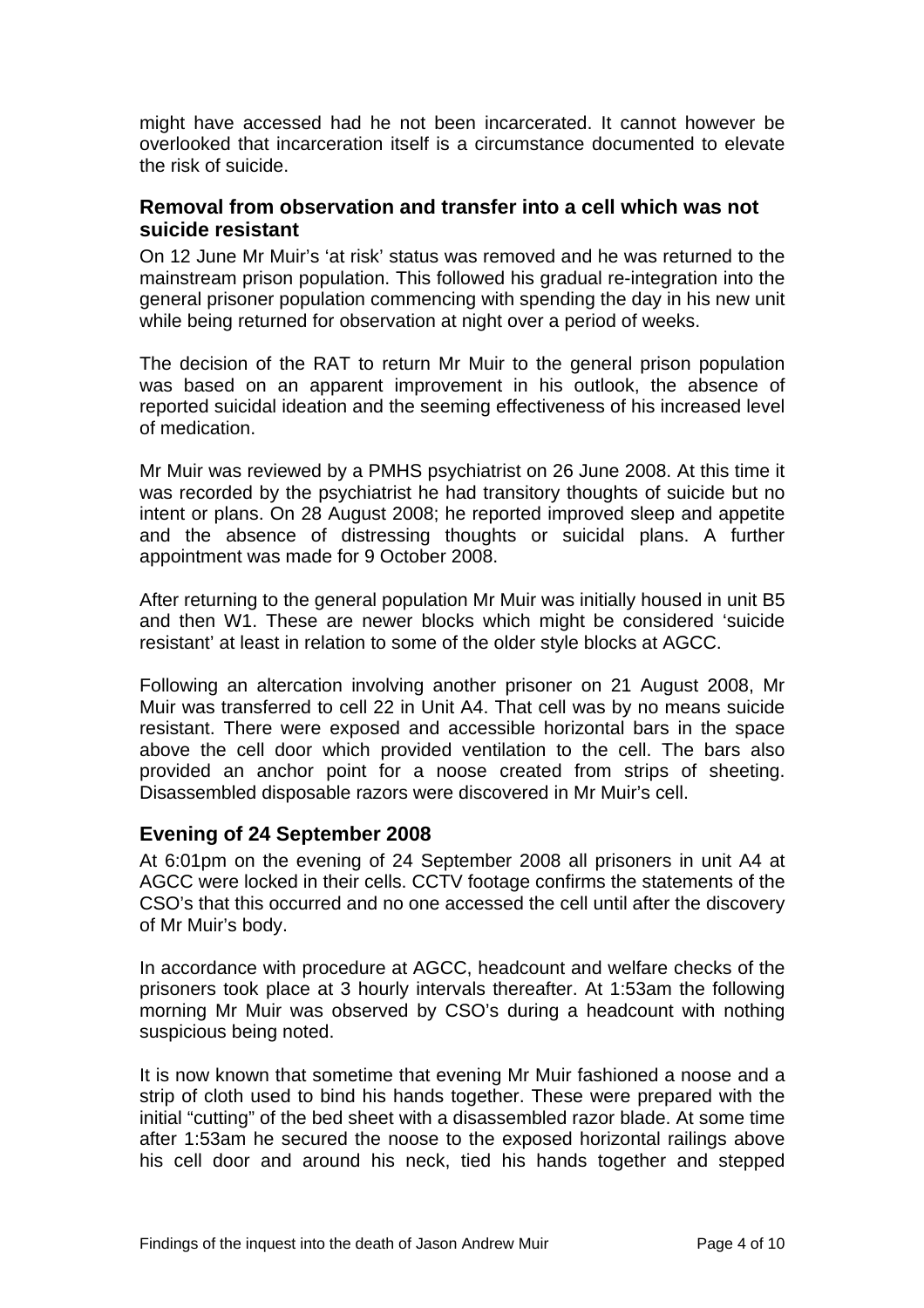<span id="page-5-0"></span>might have accessed had he not been incarcerated. It cannot however be overlooked that incarceration itself is a circumstance documented to elevate the risk of suicide.

#### **Removal from observation and transfer into a cell which was not suicide resistant**

On 12 June Mr Muir's 'at risk' status was removed and he was returned to the mainstream prison population. This followed his gradual re-integration into the general prisoner population commencing with spending the day in his new unit while being returned for observation at night over a period of weeks.

The decision of the RAT to return Mr Muir to the general prison population was based on an apparent improvement in his outlook, the absence of reported suicidal ideation and the seeming effectiveness of his increased level of medication.

Mr Muir was reviewed by a PMHS psychiatrist on 26 June 2008. At this time it was recorded by the psychiatrist he had transitory thoughts of suicide but no intent or plans. On 28 August 2008; he reported improved sleep and appetite and the absence of distressing thoughts or suicidal plans. A further appointment was made for 9 October 2008.

After returning to the general population Mr Muir was initially housed in unit B5 and then W1. These are newer blocks which might be considered 'suicide resistant' at least in relation to some of the older style blocks at AGCC.

Following an altercation involving another prisoner on 21 August 2008, Mr Muir was transferred to cell 22 in Unit A4. That cell was by no means suicide resistant. There were exposed and accessible horizontal bars in the space above the cell door which provided ventilation to the cell. The bars also provided an anchor point for a noose created from strips of sheeting. Disassembled disposable razors were discovered in Mr Muir's cell.

#### **Evening of 24 September 2008**

At 6:01pm on the evening of 24 September 2008 all prisoners in unit A4 at AGCC were locked in their cells. CCTV footage confirms the statements of the CSO's that this occurred and no one accessed the cell until after the discovery of Mr Muir's body.

In accordance with procedure at AGCC, headcount and welfare checks of the prisoners took place at 3 hourly intervals thereafter. At 1:53am the following morning Mr Muir was observed by CSO's during a headcount with nothing suspicious being noted.

It is now known that sometime that evening Mr Muir fashioned a noose and a strip of cloth used to bind his hands together. These were prepared with the initial "cutting" of the bed sheet with a disassembled razor blade. At some time after 1:53am he secured the noose to the exposed horizontal railings above his cell door and around his neck, tied his hands together and stepped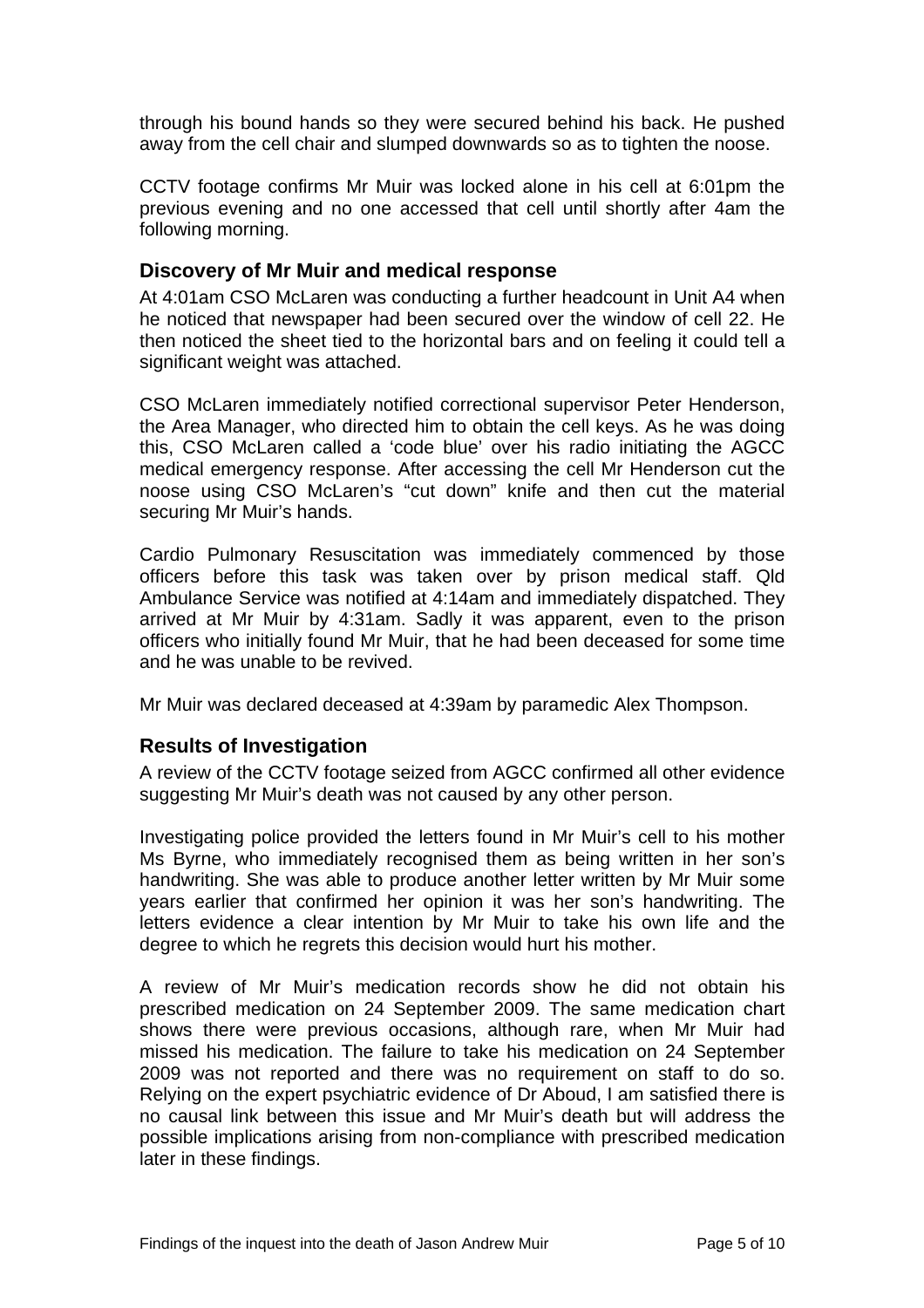<span id="page-6-0"></span>through his bound hands so they were secured behind his back. He pushed away from the cell chair and slumped downwards so as to tighten the noose.

CCTV footage confirms Mr Muir was locked alone in his cell at 6:01pm the previous evening and no one accessed that cell until shortly after 4am the following morning.

#### **Discovery of Mr Muir and medical response**

At 4:01am CSO McLaren was conducting a further headcount in Unit A4 when he noticed that newspaper had been secured over the window of cell 22. He then noticed the sheet tied to the horizontal bars and on feeling it could tell a significant weight was attached.

CSO McLaren immediately notified correctional supervisor Peter Henderson, the Area Manager, who directed him to obtain the cell keys. As he was doing this, CSO McLaren called a 'code blue' over his radio initiating the AGCC medical emergency response. After accessing the cell Mr Henderson cut the noose using CSO McLaren's "cut down" knife and then cut the material securing Mr Muir's hands.

Cardio Pulmonary Resuscitation was immediately commenced by those officers before this task was taken over by prison medical staff. Qld Ambulance Service was notified at 4:14am and immediately dispatched. They arrived at Mr Muir by 4:31am. Sadly it was apparent, even to the prison officers who initially found Mr Muir, that he had been deceased for some time and he was unable to be revived.

Mr Muir was declared deceased at 4:39am by paramedic Alex Thompson.

#### **Results of Investigation**

A review of the CCTV footage seized from AGCC confirmed all other evidence suggesting Mr Muir's death was not caused by any other person.

Investigating police provided the letters found in Mr Muir's cell to his mother Ms Byrne, who immediately recognised them as being written in her son's handwriting. She was able to produce another letter written by Mr Muir some years earlier that confirmed her opinion it was her son's handwriting. The letters evidence a clear intention by Mr Muir to take his own life and the degree to which he regrets this decision would hurt his mother.

A review of Mr Muir's medication records show he did not obtain his prescribed medication on 24 September 2009. The same medication chart shows there were previous occasions, although rare, when Mr Muir had missed his medication. The failure to take his medication on 24 September 2009 was not reported and there was no requirement on staff to do so. Relying on the expert psychiatric evidence of Dr Aboud, I am satisfied there is no causal link between this issue and Mr Muir's death but will address the possible implications arising from non-compliance with prescribed medication later in these findings.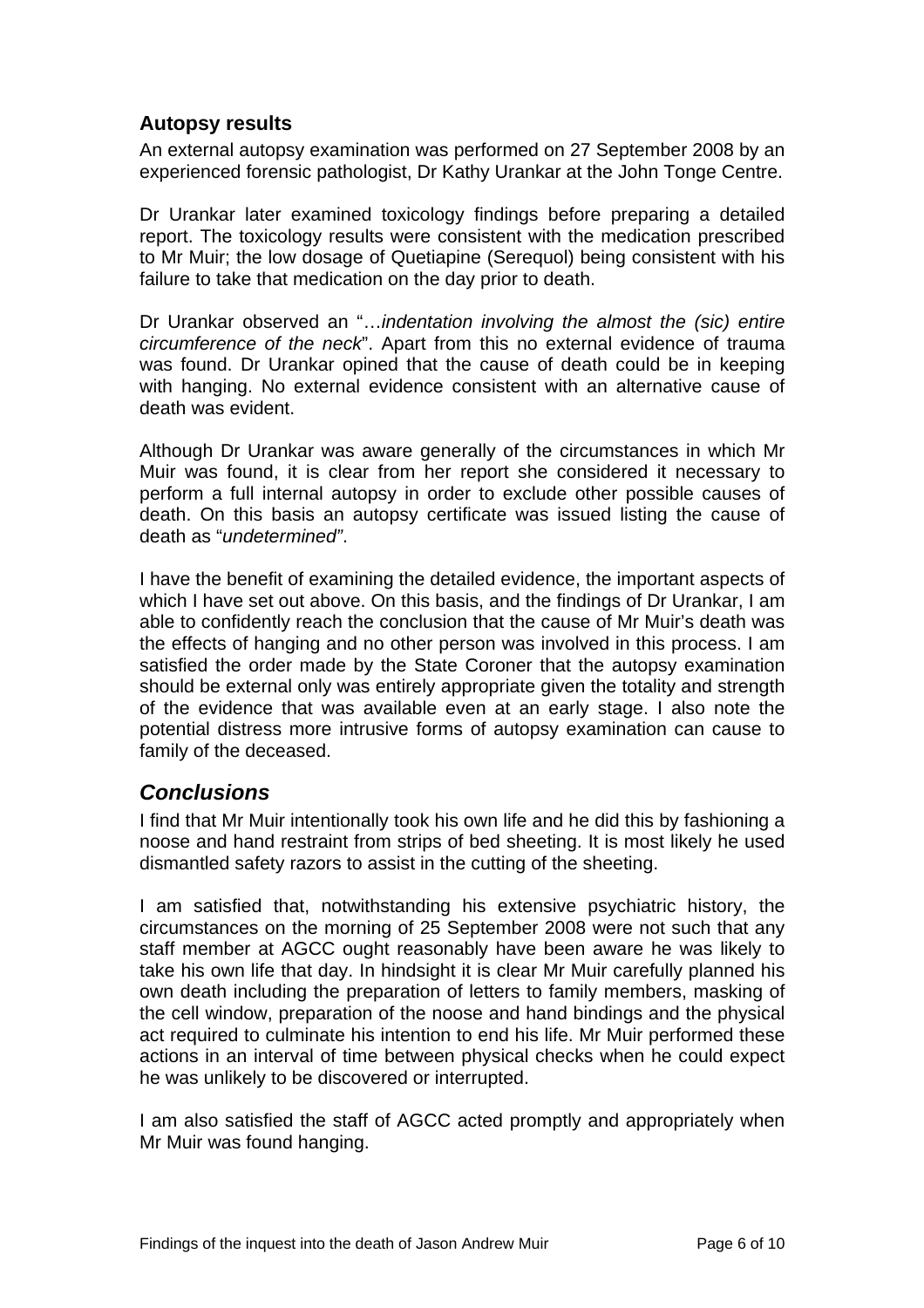## <span id="page-7-0"></span>**Autopsy results**

An external autopsy examination was performed on 27 September 2008 by an experienced forensic pathologist, Dr Kathy Urankar at the John Tonge Centre.

Dr Urankar later examined toxicology findings before preparing a detailed report. The toxicology results were consistent with the medication prescribed to Mr Muir; the low dosage of Quetiapine (Serequol) being consistent with his failure to take that medication on the day prior to death.

Dr Urankar observed an "…*indentation involving the almost the (sic) entire circumference of the neck*". Apart from this no external evidence of trauma was found. Dr Urankar opined that the cause of death could be in keeping with hanging. No external evidence consistent with an alternative cause of death was evident.

Although Dr Urankar was aware generally of the circumstances in which Mr Muir was found, it is clear from her report she considered it necessary to perform a full internal autopsy in order to exclude other possible causes of death. On this basis an autopsy certificate was issued listing the cause of death as "*undetermined"*.

I have the benefit of examining the detailed evidence, the important aspects of which I have set out above. On this basis, and the findings of Dr Urankar, I am able to confidently reach the conclusion that the cause of Mr Muir's death was the effects of hanging and no other person was involved in this process. I am satisfied the order made by the State Coroner that the autopsy examination should be external only was entirely appropriate given the totality and strength of the evidence that was available even at an early stage. I also note the potential distress more intrusive forms of autopsy examination can cause to family of the deceased.

## *Conclusions*

I find that Mr Muir intentionally took his own life and he did this by fashioning a noose and hand restraint from strips of bed sheeting. It is most likely he used dismantled safety razors to assist in the cutting of the sheeting.

I am satisfied that, notwithstanding his extensive psychiatric history, the circumstances on the morning of 25 September 2008 were not such that any staff member at AGCC ought reasonably have been aware he was likely to take his own life that day. In hindsight it is clear Mr Muir carefully planned his own death including the preparation of letters to family members, masking of the cell window, preparation of the noose and hand bindings and the physical act required to culminate his intention to end his life. Mr Muir performed these actions in an interval of time between physical checks when he could expect he was unlikely to be discovered or interrupted.

I am also satisfied the staff of AGCC acted promptly and appropriately when Mr Muir was found hanging.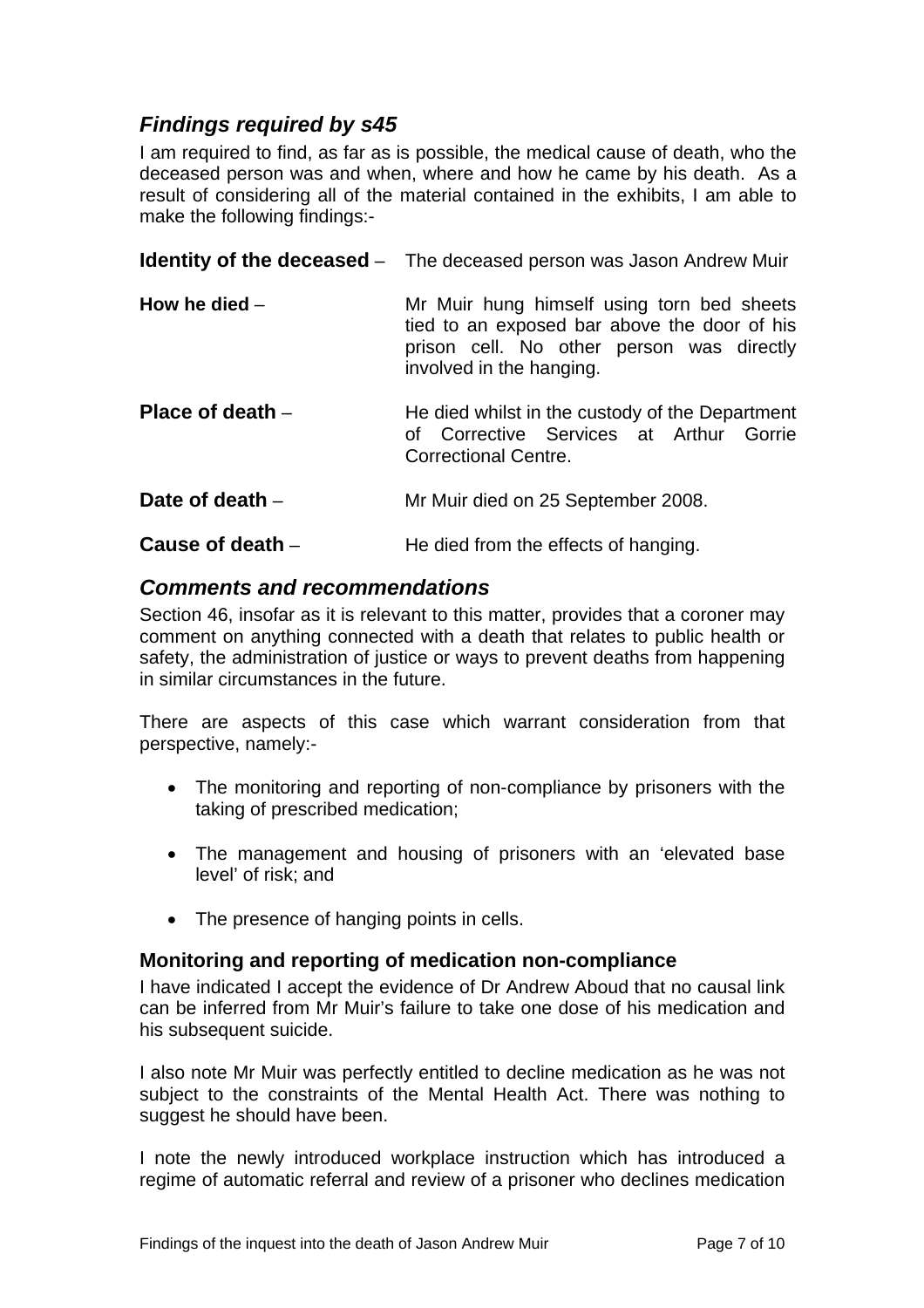## <span id="page-8-0"></span>*Findings required by s45*

I am required to find, as far as is possible, the medical cause of death, who the deceased person was and when, where and how he came by his death. As a result of considering all of the material contained in the exhibits, I am able to make the following findings:-

|                    | <b>Identity of the deceased</b> - The deceased person was Jason Andrew Muir                                                                                         |
|--------------------|---------------------------------------------------------------------------------------------------------------------------------------------------------------------|
| How he died $-$    | Mr Muir hung himself using torn bed sheets<br>tied to an exposed bar above the door of his<br>prison cell. No other person was directly<br>involved in the hanging. |
| Place of death $-$ | He died whilst in the custody of the Department<br>of Corrective Services at Arthur Gorrie<br><b>Correctional Centre.</b>                                           |
| Date of death $-$  | Mr Muir died on 25 September 2008.                                                                                                                                  |
| Cause of death $-$ | He died from the effects of hanging.                                                                                                                                |

## *Comments and recommendations*

Section 46, insofar as it is relevant to this matter, provides that a coroner may comment on anything connected with a death that relates to public health or safety, the administration of justice or ways to prevent deaths from happening in similar circumstances in the future.

There are aspects of this case which warrant consideration from that perspective, namely:-

- The monitoring and reporting of non-compliance by prisoners with the taking of prescribed medication;
- The management and housing of prisoners with an 'elevated base level' of risk; and
- The presence of hanging points in cells.

#### **Monitoring and reporting of medication non-compliance**

I have indicated I accept the evidence of Dr Andrew Aboud that no causal link can be inferred from Mr Muir's failure to take one dose of his medication and his subsequent suicide.

I also note Mr Muir was perfectly entitled to decline medication as he was not subject to the constraints of the Mental Health Act. There was nothing to suggest he should have been.

I note the newly introduced workplace instruction which has introduced a regime of automatic referral and review of a prisoner who declines medication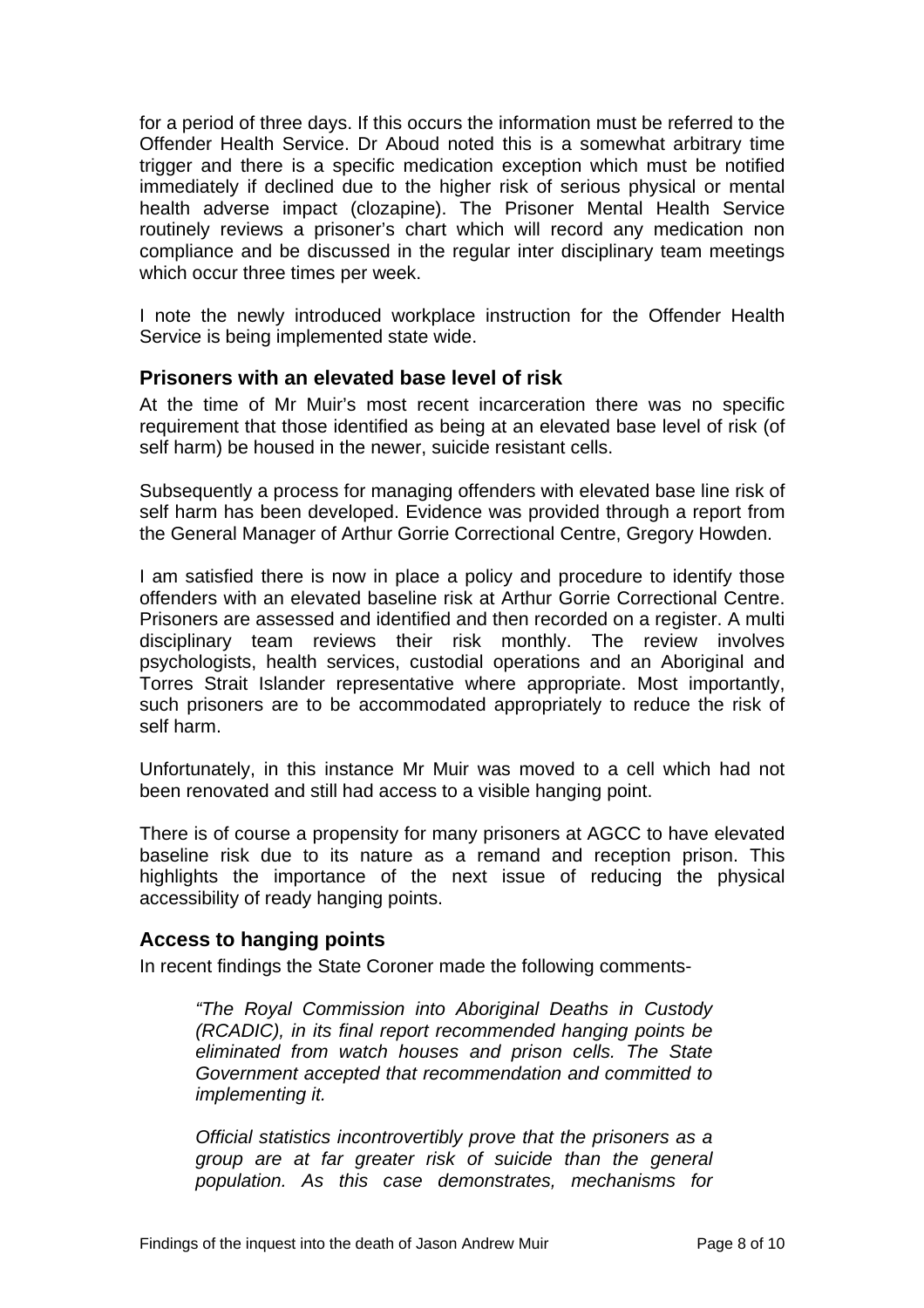<span id="page-9-0"></span>for a period of three days. If this occurs the information must be referred to the Offender Health Service. Dr Aboud noted this is a somewhat arbitrary time trigger and there is a specific medication exception which must be notified immediately if declined due to the higher risk of serious physical or mental health adverse impact (clozapine). The Prisoner Mental Health Service routinely reviews a prisoner's chart which will record any medication non compliance and be discussed in the regular inter disciplinary team meetings which occur three times per week.

I note the newly introduced workplace instruction for the Offender Health Service is being implemented state wide.

#### **Prisoners with an elevated base level of risk**

At the time of Mr Muir's most recent incarceration there was no specific requirement that those identified as being at an elevated base level of risk (of self harm) be housed in the newer, suicide resistant cells.

Subsequently a process for managing offenders with elevated base line risk of self harm has been developed. Evidence was provided through a report from the General Manager of Arthur Gorrie Correctional Centre, Gregory Howden.

I am satisfied there is now in place a policy and procedure to identify those offenders with an elevated baseline risk at Arthur Gorrie Correctional Centre. Prisoners are assessed and identified and then recorded on a register. A multi disciplinary team reviews their risk monthly. The review involves psychologists, health services, custodial operations and an Aboriginal and Torres Strait Islander representative where appropriate. Most importantly, such prisoners are to be accommodated appropriately to reduce the risk of self harm.

Unfortunately, in this instance Mr Muir was moved to a cell which had not been renovated and still had access to a visible hanging point.

There is of course a propensity for many prisoners at AGCC to have elevated baseline risk due to its nature as a remand and reception prison. This highlights the importance of the next issue of reducing the physical accessibility of ready hanging points.

#### **Access to hanging points**

In recent findings the State Coroner made the following comments-

*"The Royal Commission into Aboriginal Deaths in Custody (RCADIC), in its final report recommended hanging points be eliminated from watch houses and prison cells. The State Government accepted that recommendation and committed to implementing it.* 

*Official statistics incontrovertibly prove that the prisoners as a group are at far greater risk of suicide than the general population. As this case demonstrates, mechanisms for*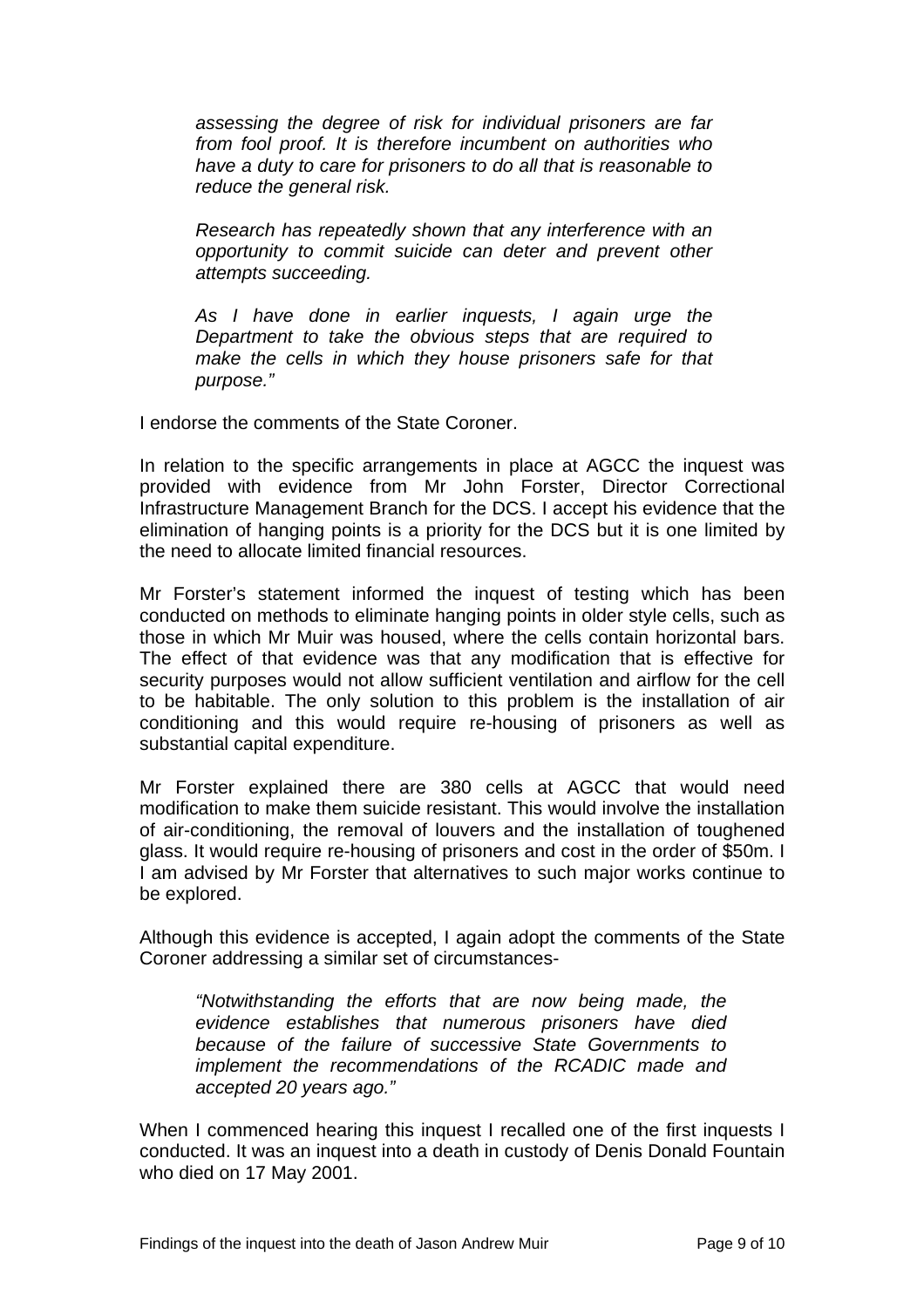*assessing the degree of risk for individual prisoners are far from fool proof. It is therefore incumbent on authorities who have a duty to care for prisoners to do all that is reasonable to reduce the general risk.* 

*Research has repeatedly shown that any interference with an opportunity to commit suicide can deter and prevent other attempts succeeding.* 

*As I have done in earlier inquests, I again urge the Department to take the obvious steps that are required to make the cells in which they house prisoners safe for that purpose."* 

I endorse the comments of the State Coroner.

In relation to the specific arrangements in place at AGCC the inquest was provided with evidence from Mr John Forster, Director Correctional Infrastructure Management Branch for the DCS. I accept his evidence that the elimination of hanging points is a priority for the DCS but it is one limited by the need to allocate limited financial resources.

Mr Forster's statement informed the inquest of testing which has been conducted on methods to eliminate hanging points in older style cells, such as those in which Mr Muir was housed, where the cells contain horizontal bars. The effect of that evidence was that any modification that is effective for security purposes would not allow sufficient ventilation and airflow for the cell to be habitable. The only solution to this problem is the installation of air conditioning and this would require re-housing of prisoners as well as substantial capital expenditure.

Mr Forster explained there are 380 cells at AGCC that would need modification to make them suicide resistant. This would involve the installation of air-conditioning, the removal of louvers and the installation of toughened glass. It would require re-housing of prisoners and cost in the order of \$50m. I I am advised by Mr Forster that alternatives to such major works continue to be explored.

Although this evidence is accepted, I again adopt the comments of the State Coroner addressing a similar set of circumstances-

*"Notwithstanding the efforts that are now being made, the evidence establishes that numerous prisoners have died because of the failure of successive State Governments to implement the recommendations of the RCADIC made and accepted 20 years ago."* 

When I commenced hearing this inquest I recalled one of the first inquests I conducted. It was an inquest into a death in custody of Denis Donald Fountain who died on 17 May 2001.